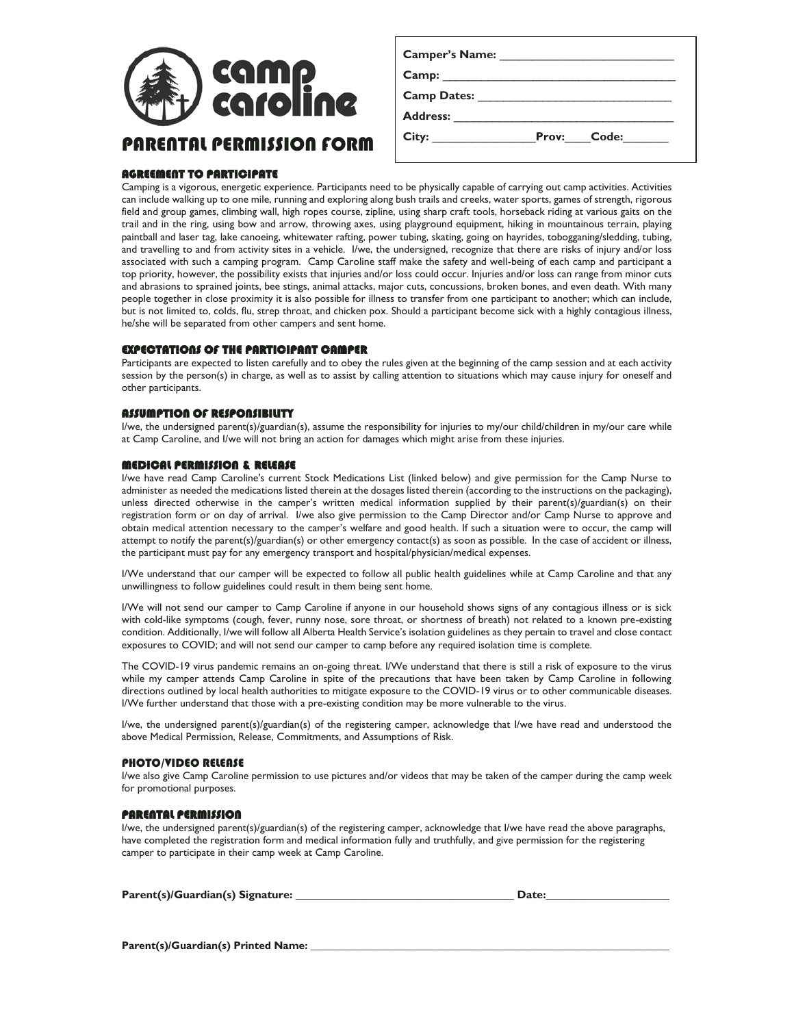

PARENTAL PERMISSION FORM

|                    | Camper's Name: 1997 |                    |
|--------------------|---------------------|--------------------|
|                    |                     |                    |
| <b>Camp Dates:</b> |                     |                    |
| Address:           |                     |                    |
| City:              |                     | <b>Prov:</b> Code: |
|                    |                     |                    |

# AGREEMENT TO PARTICIPATE

Camping is a vigorous, energetic experience. Participants need to be physically capable of carrying out camp activities. Activities can include walking up to one mile, running and exploring along bush trails and creeks, water sports, games of strength, rigorous field and group games, climbing wall, high ropes course, zipline, using sharp craft tools, horseback riding at various gaits on the trail and in the ring, using bow and arrow, throwing axes, using playground equipment, hiking in mountainous terrain, playing paintball and laser tag, lake canoeing, whitewater rafting, power tubing, skating, going on hayrides, tobogganing/sledding, tubing, and travelling to and from activity sites in a vehicle. I/we, the undersigned, recognize that there are risks of injury and/or loss associated with such a camping program. Camp Caroline staff make the safety and well-being of each camp and participant a top priority, however, the possibility exists that injuries and/or loss could occur. Injuries and/or loss can range from minor cuts and abrasions to sprained joints, bee stings, animal attacks, major cuts, concussions, broken bones, and even death. With many people together in close proximity it is also possible for illness to transfer from one participant to another; which can include, but is not limited to, colds, flu, strep throat, and chicken pox. Should a participant become sick with a highly contagious illness, he/she will be separated from other campers and sent home.

## EXPECTATIONS OF THE PARTICIPANT CAMPER

Participants are expected to listen carefully and to obey the rules given at the beginning of the camp session and at each activity session by the person(s) in charge, as well as to assist by calling attention to situations which may cause injury for oneself and other participants.

# ASSUMPTION OF RESPONSIBILITY

I/we, the undersigned parent(s)/guardian(s), assume the responsibility for injuries to my/our child/children in my/our care while at Camp Caroline, and I/we will not bring an action for damages which might arise from these injuries.

## MEDICAL PERMISSION & RELEASE

I/we have read Camp Caroline's current Stock Medications List (linked below) and give permission for the Camp Nurse to administer as needed the medications listed therein at the dosages listed therein (according to the instructions on the packaging), unless directed otherwise in the camper's written medical information supplied by their parent(s)/guardian(s) on their registration form or on day of arrival. I/we also give permission to the Camp Director and/or Camp Nurse to approve and obtain medical attention necessary to the camper's welfare and good health. If such a situation were to occur, the camp will attempt to notify the parent(s)/guardian(s) or other emergency contact(s) as soon as possible. In the case of accident or illness, the participant must pay for any emergency transport and hospital/physician/medical expenses.

I/We understand that our camper will be expected to follow all public health guidelines while at Camp Caroline and that any unwillingness to follow guidelines could result in them being sent home.

I/We will not send our camper to Camp Caroline if anyone in our household shows signs of any contagious illness or is sick with cold-like symptoms (cough, fever, runny nose, sore throat, or shortness of breath) not related to a known pre-existing condition. Additionally, I/we will follow all Alberta Health Service's isolation guidelines as they pertain to travel and close contact exposures to COVID; and will not send our camper to camp before any required isolation time is complete.

The COVID-19 virus pandemic remains an on-going threat. I/We understand that there is still a risk of exposure to the virus while my camper attends Camp Caroline in spite of the precautions that have been taken by Camp Caroline in following directions outlined by local health authorities to mitigate exposure to the COVID-19 virus or to other communicable diseases. I/We further understand that those with a pre-existing condition may be more vulnerable to the virus.

I/we, the undersigned parent(s)/guardian(s) of the registering camper, acknowledge that I/we have read and understood the above Medical Permission, Release, Commitments, and Assumptions of Risk.

#### PHOTO/VIDEO RELEASE

I/we also give Camp Caroline permission to use pictures and/or videos that may be taken of the camper during the camp week for promotional purposes.

#### PARENTAL PERMISSION

I/we, the undersigned parent(s)/guardian(s) of the registering camper, acknowledge that I/we have read the above paragraphs, have completed the registration form and medical information fully and truthfully, and give permission for the registering camper to participate in their camp week at Camp Caroline.

| Parent(s)/Guardian(s) Signature: | <b>Date:</b> |
|----------------------------------|--------------|
|                                  |              |

Parent(s)/Guardian(s) Printed Name: